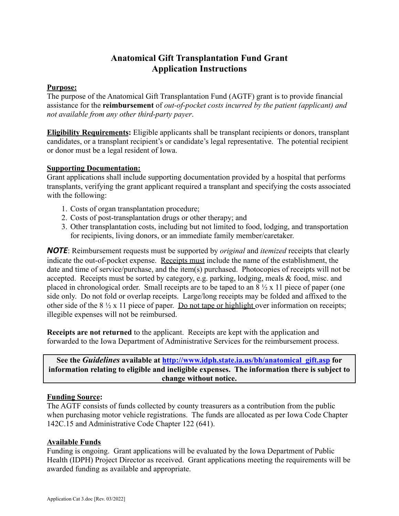# **Anatomical Gift Transplantation Fund Grant Application Instructions**

### **Purpose:**

The purpose of the Anatomical Gift Transplantation Fund (AGTF) grant is to provide financial assistance for the **reimbursement** of *out-of-pocket costs incurred by the patient (applicant) and not available from any other third-party payer*.

**Eligibility Requirements:** Eligible applicants shall be transplant recipients or donors, transplant candidates, or a transplant recipient's or candidate's legal representative. The potential recipient or donor must be a legal resident of Iowa.

### **Supporting Documentation:**

Grant applications shall include supporting documentation provided by a hospital that performs transplants, verifying the grant applicant required a transplant and specifying the costs associated with the following:

- 1. Costs of organ transplantation procedure;
- 2. Costs of post-transplantation drugs or other therapy; and
- 3. Other transplantation costs, including but not limited to food, lodging, and transportation for recipients, living donors, or an immediate family member/caretaker.

*NOTE*: Reimbursement requests must be supported by *original* and *itemized* receipts that clearly indicate the out-of-pocket expense. Receipts must include the name of the establishment, the date and time of service/purchase, and the item(s) purchased. Photocopies of receipts will not be accepted. Receipts must be sorted by category, e.g. parking, lodging, meals & food, misc. and placed in chronological order. Small receipts are to be taped to an  $8\frac{1}{2}$  x 11 piece of paper (one side only. Do not fold or overlap receipts. Large/long receipts may be folded and affixed to the other side of the  $8\frac{1}{2}$  x 11 piece of paper. Do not tape or highlight over information on receipts; illegible expenses will not be reimbursed.

**Receipts are not returned** to the applicant. Receipts are kept with the application and forwarded to the Iowa Department of Administrative Services for the reimbursement process.

**See the** *Guidelines* **available at [http://www.idph.state.ia.us/bh/anatomical\\_gift.asp](http://www.idph.state.ia.us/bh/anatomical_gift.asp) for information relating to eligible and ineligible expenses. The information there is subject to change without notice.**

### **Funding Source:**

The AGTF consists of funds collected by county treasurers as a contribution from the public when purchasing motor vehicle registrations. The funds are allocated as per Iowa Code Chapter 142C.15 and Administrative Code Chapter 122 (641).

### **Available Funds**

Funding is ongoing. Grant applications will be evaluated by the Iowa Department of Public Health (IDPH) Project Director as received. Grant applications meeting the requirements will be awarded funding as available and appropriate.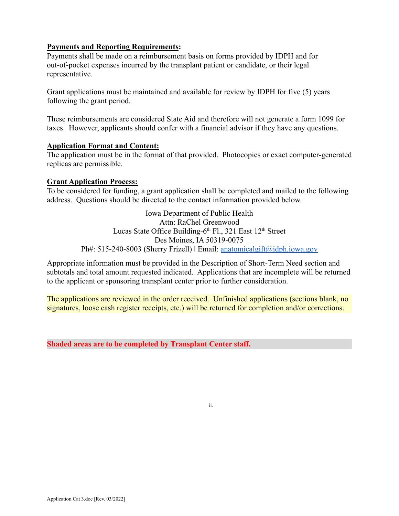### **Payments and Reporting Requirements:**

Payments shall be made on a reimbursement basis on forms provided by IDPH and for out-of-pocket expenses incurred by the transplant patient or candidate, or their legal representative.

Grant applications must be maintained and available for review by IDPH for five (5) years following the grant period.

These reimbursements are considered State Aid and therefore will not generate a form 1099 for taxes. However, applicants should confer with a financial advisor if they have any questions.

#### **Application Format and Content:**

The application must be in the format of that provided. Photocopies or exact computer-generated replicas are permissible.

#### **Grant Application Process:**

To be considered for funding, a grant application shall be completed and mailed to the following address. Questions should be directed to the contact information provided below.

> Iowa Department of Public Health Attn: RaChel Greenwood Lucas State Office Building- $6<sup>th</sup>$  Fl., 321 East 12<sup>th</sup> Street Des Moines, IA 50319-0075 Ph#: 515-240-8003 (Sherry Frizell) | Email: [anatomicalgift@idph.iowa.gov](mailto:anatomicalgift@idph.iowa.gov)

Appropriate information must be provided in the Description of Short-Term Need section and subtotals and total amount requested indicated. Applications that are incomplete will be returned to the applicant or sponsoring transplant center prior to further consideration.

The applications are reviewed in the order received. Unfinished applications (sections blank, no signatures, loose cash register receipts, etc.) will be returned for completion and/or corrections.

**Shaded areas are to be completed by Transplant Center staff.**

ii.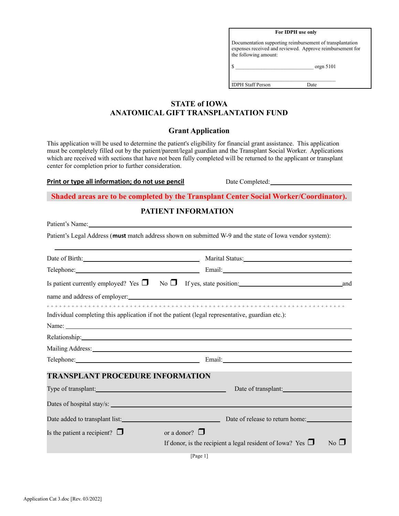| For IDPH use only                                                                                                                               |            |  |  |
|-------------------------------------------------------------------------------------------------------------------------------------------------|------------|--|--|
| Documentation supporting reimbursement of transplantation<br>expenses received and reviewed. Approve reimbursement for<br>the following amount: |            |  |  |
|                                                                                                                                                 | organ 5101 |  |  |
| <b>IDPH Staff Person</b>                                                                                                                        |            |  |  |

## **STATE of IOWA ANATOMICAL GIFT TRANSPLANTATION FUND**

### **Grant Application**

This application will be used to determine the patient's eligibility for financial grant assistance. This application must be completely filled out by the patient/parent/legal guardian and the Transplant Social Worker. Applications which are received with sections that have not been fully completed will be returned to the applicant or transplant center for completion prior to further consideration.

#### **Print or type all information; do not use pencil** Date Completed:

**Shaded areas are to be completed by the Transplant Center Social Worker/Coordinator).**

### **PATIENT INFORMATION**

Patient's Name: Patient's Legal Address (**must** match address shown on submitted W-9 and the state of Iowa vendor system): Date of Birth: Marital Status: Marital Status: Telephone: Email: Email: Email: Email: Email: Email: Email: Email: Email: Email: Email: Email: Email: Email: Email: Email: Email: Email: Email: Email: Email: Email: Email: Email: Email: Email: Email: Email: Email: Email: E Is patient currently employed? Yes  $\Box$  No  $\Box$  If yes, state position: and and name and address of employer: + + + + + + + + + + + + + + + + + + + + + + + + + + + + + + + + + + + + + + + + + + + + + + + + + + + + + + + + + + + + + + + + + + + + + + + + Individual completing this application if not the patient (legal representative, guardian etc.): Name: Relationship: **Example 2018 Relationship: Example 2018 Relationship: Example 2018** Mailing Address: Telephone: Email: Email: **TRANSPLANT PROCEDURE INFORMATION** Type of transplant: Date of transplant: Date of transplant: Dates of hospital stay/s: Date added to transplant list:<br>
Date of release to return home: Is the patient a recipient?  $\Box$  or a donor?  $\Box$ If donor, is the recipient a legal resident of Iowa? Yes  $\Box$  No  $\Box$ [Page 1]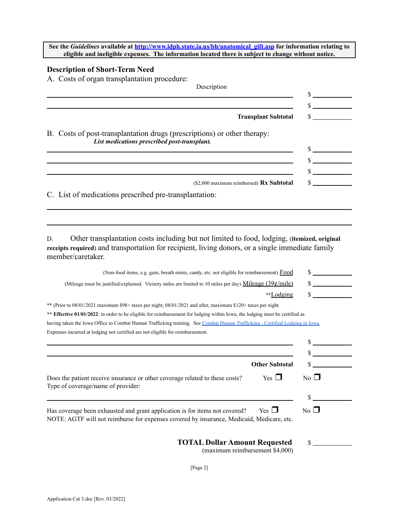**See the** *Guidelines* **available at [http://www.idph.state.ia.us/bh/anatomical\\_gift.asp](http://www.idph.state.ia.us/bh/anatomical_gift.asp) for information relating to eligible and ineligible expenses. The information located there is subject to change without notice.**

### **Description of Short-Term Need**

A. Costs of organ transplantation procedure:

| Description                                                                                                              |  |
|--------------------------------------------------------------------------------------------------------------------------|--|
|                                                                                                                          |  |
|                                                                                                                          |  |
| <b>Transplant Subtotal</b>                                                                                               |  |
| B. Costs of post-transplantation drugs (prescriptions) or other therapy:<br>List medications prescribed post-transplant. |  |
|                                                                                                                          |  |
|                                                                                                                          |  |
| (\$2,000 maximum reimbursed) Rx Subtotal                                                                                 |  |
| C. List of medications prescribed pre-transplantation:                                                                   |  |

D. Other transplantation costs including but not limited to food, lodging, (**itemized, original receipts required**) and transportation for recipient, living donors, or a single immediate family member/caretaker.

| (Non-food items, e.g. gum, breath mints, candy, etc. not eligible for reimbursement) Food                                                                                              |                                         |  |  |  |
|----------------------------------------------------------------------------------------------------------------------------------------------------------------------------------------|-----------------------------------------|--|--|--|
| (Mileage must be justified/explained. Vicinity miles are limited to 10 miles per day) Mileage $(39¢/mile)$                                                                             | $\mathcal{L}^{\text{max}}_{\text{max}}$ |  |  |  |
| **Lodging                                                                                                                                                                              |                                         |  |  |  |
| ** (Prior to 08/01/2021 maximum \$98+ taxes per night; 08/01/2021 and after, maximum \$120+ taxes per night.                                                                           |                                         |  |  |  |
| ** Effective 01/01/2022: in order to be eligible for reimbursement for lodging within Iowa, the lodging must be certified as                                                           |                                         |  |  |  |
| having taken the Iowa Office to Combat Human Trafficking training. See Combat Human Trafficking - Certified Lodging in Iowa.                                                           |                                         |  |  |  |
| Expenses incurred at lodging not certified are not eligible for reimbursement.                                                                                                         |                                         |  |  |  |
|                                                                                                                                                                                        |                                         |  |  |  |
|                                                                                                                                                                                        |                                         |  |  |  |
| <b>Other Subtotal</b>                                                                                                                                                                  |                                         |  |  |  |
| $Yes \Box$<br>Does the patient receive insurance or other coverage related to these costs?<br>Type of coverage/name of provider:                                                       | $\overline{N_0}$                        |  |  |  |
|                                                                                                                                                                                        |                                         |  |  |  |
| Yes $\Box$<br>Has coverage been exhausted and grant application is for items not covered?<br>NOTE: AGTF will not reimburse for expenses covered by insurance, Medicaid, Medicare, etc. | $\overline{N_0}$ $\Box$                 |  |  |  |
| <b>TOTAL Dollar Amount Requested</b>                                                                                                                                                   |                                         |  |  |  |

(maximum reimbursement \$4,000)

[Page 2]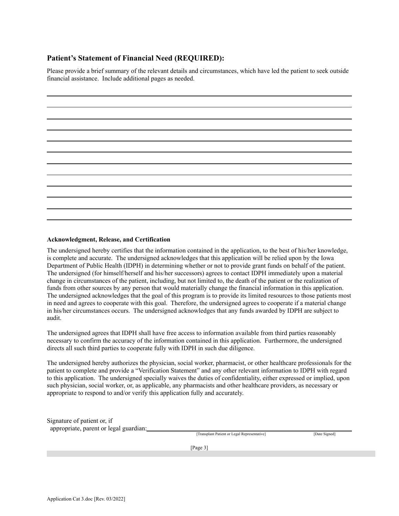### **Patient's Statement of Financial Need (REQUIRED):**

Please provide a brief summary of the relevant details and circumstances, which have led the patient to seek outside financial assistance. Include additional pages as needed.

#### **Acknowledgment, Release, and Certification**

The undersigned hereby certifies that the information contained in the application, to the best of his/her knowledge, is complete and accurate. The undersigned acknowledges that this application will be relied upon by the Iowa Department of Public Health (IDPH) in determining whether or not to provide grant funds on behalf of the patient. The undersigned (for himself/herself and his/her successors) agrees to contact IDPH immediately upon a material change in circumstances of the patient, including, but not limited to, the death of the patient or the realization of funds from other sources by any person that would materially change the financial information in this application. The undersigned acknowledges that the goal of this program is to provide its limited resources to those patients most in need and agrees to cooperate with this goal. Therefore, the undersigned agrees to cooperate if a material change in his/her circumstances occurs. The undersigned acknowledges that any funds awarded by IDPH are subject to audit.

The undersigned agrees that IDPH shall have free access to information available from third parties reasonably necessary to confirm the accuracy of the information contained in this application. Furthermore, the undersigned directs all such third parties to cooperate fully with IDPH in such due diligence.

The undersigned hereby authorizes the physician, social worker, pharmacist, or other healthcare professionals for the patient to complete and provide a "Verification Statement" and any other relevant information to IDPH with regard to this application. The undersigned specially waives the duties of confidentiality, either expressed or implied, upon such physician, social worker, or, as applicable, any pharmacists and other healthcare providers, as necessary or appropriate to respond to and/or verify this application fully and accurately.

Signature of patient or, if appropriate, parent or legal guardian:

[Transplant Patient or Legal Representative] [Date Signed]

[Page 3]